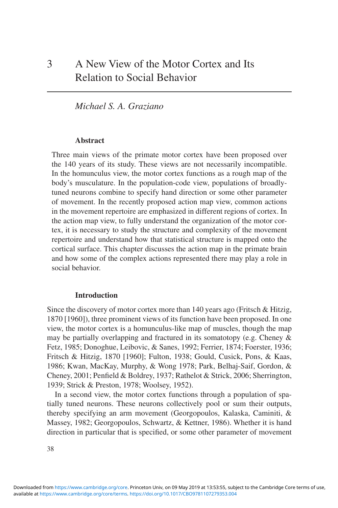# *Michael S. A. Graziano*

### **Abstract**

 Three main views of the primate motor cortex have been proposed over the 140 years of its study. These views are not necessarily incompatible. In the homunculus view, the motor cortex functions as a rough map of the body's musculature. In the population- code view, populations of broadlytuned neurons combine to specify hand direction or some other parameter of movement. In the recently proposed action map view, common actions in the movement repertoire are emphasized in different regions of cortex. In the action map view, to fully understand the organization of the motor cortex, it is necessary to study the structure and complexity of the movement repertoire and understand how that statistical structure is mapped onto the cortical surface. This chapter discusses the action map in the primate brain and how some of the complex actions represented there may play a role in social behavior.

### **Introduction**

Since the discovery of motor cortex more than  $140$  years ago (Fritsch & Hitzig, 1870 [1960] ), three prominent views of its function have been proposed. In one view, the motor cortex is a homunculus- like map of muscles, though the map may be partially overlapping and fractured in its somatotopy (e.g. Cheney & Fetz, 1985; Donoghue, Leibovic, & Sanes, 1992; Ferrier, 1874; Foerster, 1936; Fritsch & Hitzig, 1870 [1960]; Fulton, 1938; Gould, Cusick, Pons, & Kaas, 1986; Kwan, MacKay, Murphy, & Wong 1978; Park, Belhaj-Saif, Gordon, & Cheney, 2001; Penfield & Boldrey, 1937; Rathelot & Strick, 2006; Sherrington, 1939; Strick & Preston, 1978; Woolsey, 1952).

 In a second view, the motor cortex functions through a population of spatially tuned neurons. These neurons collectively pool or sum their outputs, thereby specifying an arm movement (Georgopoulos, Kalaska, Caminiti, & Massey, 1982; Georgopoulos, Schwartz, & Kettner, 1986). Whether it is hand direction in particular that is specified, or some other parameter of movement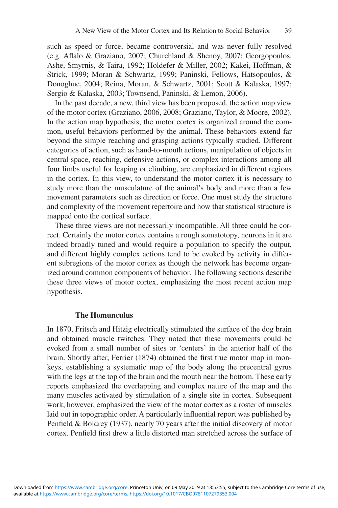such as speed or force, became controversial and was never fully resolved (e.g. Afl alo & Graziano, 2007 ; Churchland & Shenoy, 2007 ; Georgopoulos, Ashe, Smyrnis, & Taira, 1992; Holdefer & Miller, 2002; Kakei, Hoffman, & Strick, 1999; Moran & Schwartz, 1999; Paninski, Fellows, Hatsopoulos, & Donoghue, 2004; Reina, Moran, & Schwartz, 2001; Scott & Kalaska, 1997; Sergio & Kalaska, 2003; Townsend, Paninski, & Lemon, 2006).

 In the past decade, a new, third view has been proposed, the action map view of the motor cortex ( Graziano, 2006 , 2008 ; Graziano, Taylor, & Moore, 2002 ). In the action map hypothesis, the motor cortex is organized around the common, useful behaviors performed by the animal. These behaviors extend far beyond the simple reaching and grasping actions typically studied. Different categories of action, such as hand- to- mouth actions, manipulation of objects in central space, reaching, defensive actions, or complex interactions among all four limbs useful for leaping or climbing, are emphasized in different regions in the cortex. In this view, to understand the motor cortex it is necessary to study more than the musculature of the animal's body and more than a few movement parameters such as direction or force. One must study the structure and complexity of the movement repertoire and how that statistical structure is mapped onto the cortical surface.

 These three views are not necessarily incompatible. All three could be correct. Certainly the motor cortex contains a rough somatotopy, neurons in it are indeed broadly tuned and would require a population to specify the output, and different highly complex actions tend to be evoked by activity in different subregions of the motor cortex as though the network has become organized around common components of behavior. The following sections describe these three views of motor cortex, emphasizing the most recent action map hypothesis.

## **The Homunculus**

 In 1870, Fritsch and Hitzig electrically stimulated the surface of the dog brain and obtained muscle twitches. They noted that these movements could be evoked from a small number of sites or 'centers' in the anterior half of the brain. Shortly after, Ferrier (1874) obtained the first true motor map in monkeys, establishing a systematic map of the body along the precentral gyrus with the legs at the top of the brain and the mouth near the bottom. These early reports emphasized the overlapping and complex nature of the map and the many muscles activated by stimulation of a single site in cortex. Subsequent work, however, emphasized the view of the motor cortex as a roster of muscles laid out in topographic order. A particularly influential report was published by Penfield  $&$  Boldrey (1937), nearly 70 years after the initial discovery of motor cortex. Penfield first drew a little distorted man stretched across the surface of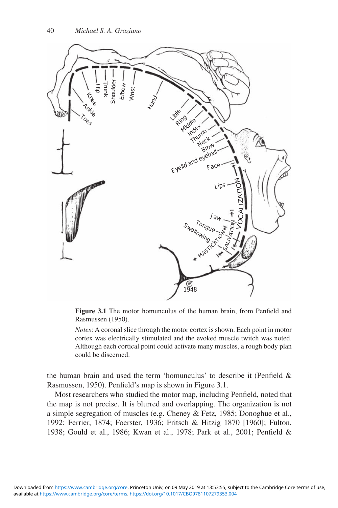

**Figure 3.1** The motor homunculus of the human brain, from Penfield and Rasmussen (1950).

*Notes:* A coronal slice through the motor cortex is shown. Each point in motor cortex was electrically stimulated and the evoked muscle twitch was noted. Although each cortical point could activate many muscles, a rough body plan could be discerned.

the human brain and used the term 'homunculus' to describe it (Penfield  $\&$ Rasmussen, 1950). Penfield's map is shown in Figure 3.1.

Most researchers who studied the motor map, including Penfield, noted that the map is not precise. It is blurred and overlapping. The organization is not a simple segregation of muscles (e.g. Cheney & Fetz, 1985; Donoghue et al., 1992; Ferrier, 1874; Foerster, 1936; Fritsch & Hitzig 1870 [1960]; Fulton, 1938; Gould et al., 1986; Kwan et al., 1978; Park et al., 2001; Penfield &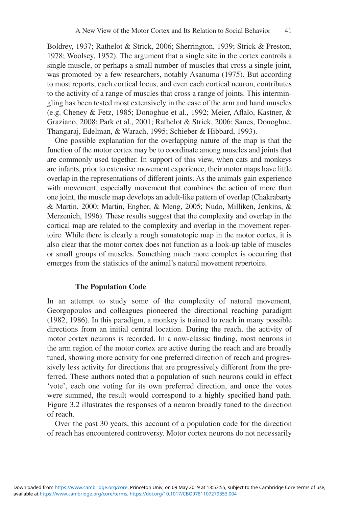Boldrey, 1937; Rathelot & Strick, 2006; Sherrington, 1939; Strick & Preston, 1978; Woolsey, 1952). The argument that a single site in the cortex controls a single muscle, or perhaps a small number of muscles that cross a single joint, was promoted by a few researchers, notably Asanuma (1975). But according to most reports, each cortical locus, and even each cortical neuron, contributes to the activity of a range of muscles that cross a range of joints. This intermingling has been tested most extensively in the case of the arm and hand muscles (e.g. Cheney & Fetz, 1985; Donoghue et al., 1992; Meier, Aflalo, Kastner,  $\&$ Graziano, 2008; Park et al., 2001; Rathelot & Strick, 2006; Sanes, Donoghue, Thangaraj, Edelman, & Warach, 1995; Schieber & Hibbard, 1993).

 One possible explanation for the overlapping nature of the map is that the function of the motor cortex may be to coordinate among muscles and joints that are commonly used together. In support of this view, when cats and monkeys are infants, prior to extensive movement experience, their motor maps have little overlap in the representations of different joints. As the animals gain experience with movement, especially movement that combines the action of more than one joint, the muscle map develops an adult-like pattern of overlap (Chakrabarty & Martin, 2000; Martin, Engber, & Meng, 2005; Nudo, Milliken, Jenkins, & Merzenich, 1996). These results suggest that the complexity and overlap in the cortical map are related to the complexity and overlap in the movement repertoire. While there is clearly a rough somatotopic map in the motor cortex, it is also clear that the motor cortex does not function as a look-up table of muscles or small groups of muscles. Something much more complex is occurring that emerges from the statistics of the animal's natural movement repertoire.

### **The Population Code**

 In an attempt to study some of the complexity of natural movement, Georgopoulos and colleagues pioneered the directional reaching paradigm (1982, 1986). In this paradigm, a monkey is trained to reach in many possible directions from an initial central location. During the reach, the activity of motor cortex neurons is recorded. In a now-classic finding, most neurons in the arm region of the motor cortex are active during the reach and are broadly tuned, showing more activity for one preferred direction of reach and progressively less activity for directions that are progressively different from the preferred. These authors noted that a population of such neurons could in effect 'vote', each one voting for its own preferred direction, and once the votes were summed, the result would correspond to a highly specified hand path. Figure 3.2 illustrates the responses of a neuron broadly tuned to the direction of reach.

 Over the past 30 years, this account of a population code for the direction of reach has encountered controversy. Motor cortex neurons do not necessarily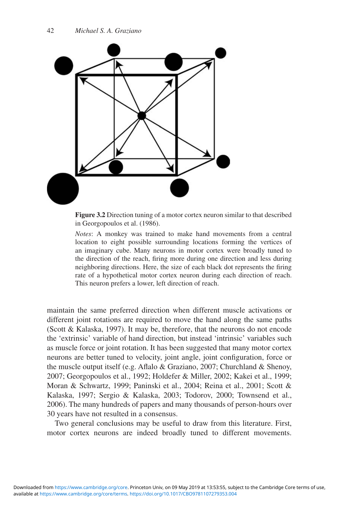

**Figure 3.2** Direction tuning of a motor cortex neuron similar to that described in Georgopoulos et al. (1986).

*Notes:* A monkey was trained to make hand movements from a central location to eight possible surrounding locations forming the vertices of an imaginary cube. Many neurons in motor cortex were broadly tuned to the direction of the reach, firing more during one direction and less during neighboring directions. Here, the size of each black dot represents the firing rate of a hypothetical motor cortex neuron during each direction of reach. This neuron prefers a lower, left direction of reach.

maintain the same preferred direction when different muscle activations or different joint rotations are required to move the hand along the same paths ( Scott & Kalaska, 1997 ). It may be, therefore, that the neurons do not encode the 'extrinsic' variable of hand direction, but instead 'intrinsic' variables such as muscle force or joint rotation. It has been suggested that many motor cortex neurons are better tuned to velocity, joint angle, joint configuration, force or the muscle output itself (e.g. Aflalo & Graziano, 2007; Churchland & Shenoy, 2007; Georgopoulos et al., 1992; Holdefer & Miller, 2002; Kakei et al., 1999; Moran & Schwartz, 1999; Paninski et al., 2004; Reina et al., 2001; Scott & Kalaska, 1997; Sergio & Kalaska, 2003; Todorov, 2000; Townsend et al., 2006 ). The many hundreds of papers and many thousands of person- hours over 30 years have not resulted in a consensus.

 Two general conclusions may be useful to draw from this literature. First, motor cortex neurons are indeed broadly tuned to different movements.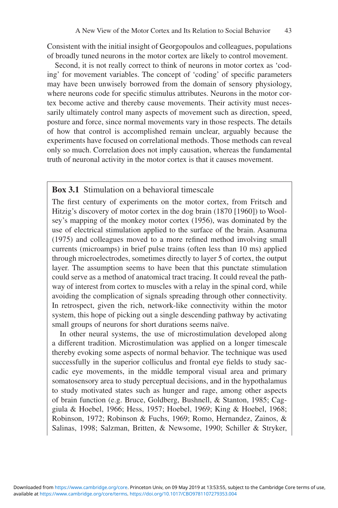Consistent with the initial insight of Georgopoulos and colleagues, populations of broadly tuned neurons in the motor cortex are likely to control movement.

 Second, it is not really correct to think of neurons in motor cortex as 'coding' for movement variables. The concept of 'coding' of specific parameters may have been unwisely borrowed from the domain of sensory physiology, where neurons code for specific stimulus attributes. Neurons in the motor cortex become active and thereby cause movements. Their activity must necessarily ultimately control many aspects of movement such as direction, speed, posture and force, since normal movements vary in those respects. The details of how that control is accomplished remain unclear, arguably because the experiments have focused on correlational methods. Those methods can reveal only so much. Correlation does not imply causation, whereas the fundamental truth of neuronal activity in the motor cortex is that it causes movement.

# **Box 3.1** Stimulation on a behavioral timescale

The first century of experiments on the motor cortex, from Fritsch and Hitzig's discovery of motor cortex in the dog brain (1870 [1960]) to Woolsey's mapping of the monkey motor cortex (1956), was dominated by the use of electrical stimulation applied to the surface of the brain. Asanuma (1975) and colleagues moved to a more refined method involving small currents (microamps) in brief pulse trains (often less than 10 ms) applied through microelectrodes, sometimes directly to layer 5 of cortex, the output layer. The assumption seems to have been that this punctate stimulation could serve as a method of anatomical tract tracing. It could reveal the pathway of interest from cortex to muscles with a relay in the spinal cord, while avoiding the complication of signals spreading through other connectivity. In retrospect, given the rich, network-like connectivity within the motor system, this hope of picking out a single descending pathway by activating small groups of neurons for short durations seems naïve.

 In other neural systems, the use of microstimulation developed along a different tradition. Microstimulation was applied on a longer timescale thereby evoking some aspects of normal behavior. The technique was used successfully in the superior colliculus and frontal eye fields to study saccadic eye movements, in the middle temporal visual area and primary somatosensory area to study perceptual decisions, and in the hypothalamus to study motivated states such as hunger and rage, among other aspects of brain function (e.g. Bruce, Goldberg, Bushnell, & Stanton, 1985; Caggiula & Hoebel, 1966; Hess, 1957; Hoebel, 1969; King & Hoebel, 1968; Robinson, 1972; Robinson & Fuchs, 1969; Romo, Hernandez, Zainos, & Salinas, 1998; Salzman, Britten, & Newsome, 1990; Schiller & Stryker,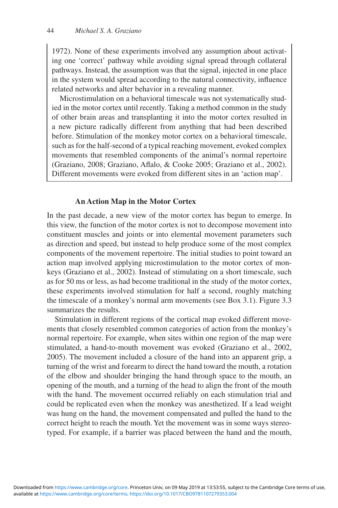1972 ). None of these experiments involved any assumption about activating one 'correct' pathway while avoiding signal spread through collateral pathways. Instead, the assumption was that the signal, injected in one place in the system would spread according to the natural connectivity, influence related networks and alter behavior in a revealing manner.

 Microstimulation on a behavioral timescale was not systematically studied in the motor cortex until recently. Taking a method common in the study of other brain areas and transplanting it into the motor cortex resulted in a new picture radically different from anything that had been described before. Stimulation of the monkey motor cortex on a behavioral timescale, such as for the half- second of a typical reaching movement, evoked complex movements that resembled components of the animal's normal repertoire (Graziano, 2008; Graziano, Aflalo, & Cooke 2005; Graziano et al., 2002). Different movements were evoked from different sites in an 'action map'.

# **An Action Map in the Motor Cortex**

 In the past decade, a new view of the motor cortex has begun to emerge. In this view, the function of the motor cortex is not to decompose movement into constituent muscles and joints or into elemental movement parameters such as direction and speed, but instead to help produce some of the most complex components of the movement repertoire. The initial studies to point toward an action map involved applying microstimulation to the motor cortex of monkeys ( Graziano et al., 2002 ). Instead of stimulating on a short timescale, such as for 50 ms or less, as had become traditional in the study of the motor cortex, these experiments involved stimulation for half a second, roughly matching the timescale of a monkey's normal arm movements (see Box 3.1 ). Figure 3.3 summarizes the results.

 Stimulation in different regions of the cortical map evoked different movements that closely resembled common categories of action from the monkey's normal repertoire. For example, when sites within one region of the map were stimulated, a hand-to-mouth movement was evoked (Graziano et al., 2002, 2005). The movement included a closure of the hand into an apparent grip, a turning of the wrist and forearm to direct the hand toward the mouth, a rotation of the elbow and shoulder bringing the hand through space to the mouth, an opening of the mouth, and a turning of the head to align the front of the mouth with the hand. The movement occurred reliably on each stimulation trial and could be replicated even when the monkey was anesthetized. If a lead weight was hung on the hand, the movement compensated and pulled the hand to the correct height to reach the mouth. Yet the movement was in some ways stereotyped. For example, if a barrier was placed between the hand and the mouth,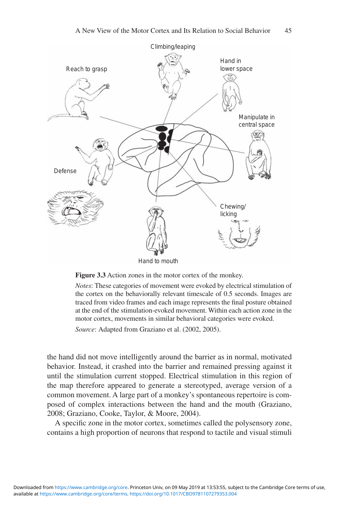



*Notes* : These categories of movement were evoked by electrical stimulation of the cortex on the behaviorally relevant timescale of 0.5 seconds. Images are traced from video frames and each image represents the final posture obtained at the end of the stimulation- evoked movement. Within each action zone in the motor cortex, movements in similar behavioral categories were evoked.

*Source*: Adapted from Graziano et al. (2002, 2005).

the hand did not move intelligently around the barrier as in normal, motivated behavior. Instead, it crashed into the barrier and remained pressing against it until the stimulation current stopped. Electrical stimulation in this region of the map therefore appeared to generate a stereotyped, average version of a common movement. A large part of a monkey's spontaneous repertoire is composed of complex interactions between the hand and the mouth (Graziano, 2008; Graziano, Cooke, Taylor, & Moore, 2004).

A specific zone in the motor cortex, sometimes called the polysensory zone, contains a high proportion of neurons that respond to tactile and visual stimuli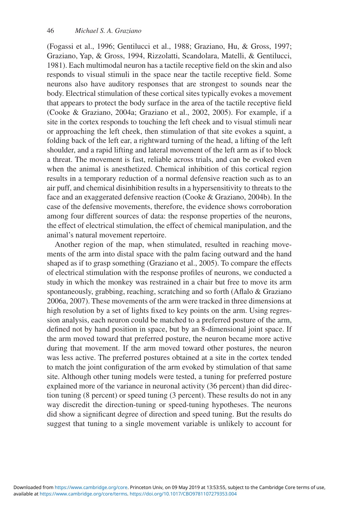(Fogassi et al., 1996; Gentilucci et al., 1988; Graziano, Hu, & Gross, 1997; Graziano, Yap, & Gross, 1994 , Rizzolatti, Scandolara, Matelli, & Gentilucci, 1981). Each multimodal neuron has a tactile receptive field on the skin and also responds to visual stimuli in the space near the tactile receptive field. Some neurons also have auditory responses that are strongest to sounds near the body. Electrical stimulation of these cortical sites typically evokes a movement that appears to protect the body surface in the area of the tactile receptive field (Cooke & Graziano, 2004a; Graziano et al., 2002, 2005). For example, if a site in the cortex responds to touching the left cheek and to visual stimuli near or approaching the left cheek, then stimulation of that site evokes a squint, a folding back of the left ear, a rightward turning of the head, a lifting of the left shoulder, and a rapid lifting and lateral movement of the left arm as if to block a threat. The movement is fast, reliable across trials, and can be evoked even when the animal is anesthetized. Chemical inhibition of this cortical region results in a temporary reduction of a normal defensive reaction such as to an air puff, and chemical disinhibition results in a hypersensitivity to threats to the face and an exaggerated defensive reaction (Cooke & Graziano, 2004b). In the case of the defensive movements, therefore, the evidence shows corroboration among four different sources of data: the response properties of the neurons, the effect of electrical stimulation, the effect of chemical manipulation, and the animal's natural movement repertoire.

 Another region of the map, when stimulated, resulted in reaching movements of the arm into distal space with the palm facing outward and the hand shaped as if to grasp something (Graziano et al., 2005). To compare the effects of electrical stimulation with the response profiles of neurons, we conducted a study in which the monkey was restrained in a chair but free to move its arm spontaneously, grabbing, reaching, scratching and so forth (Aflalo  $\&$  Graziano 2006a , 2007 ). These movements of the arm were tracked in three dimensions at high resolution by a set of lights fixed to key points on the arm. Using regression analysis, each neuron could be matched to a preferred posture of the arm, defined not by hand position in space, but by an 8-dimensional joint space. If the arm moved toward that preferred posture, the neuron became more active during that movement. If the arm moved toward other postures, the neuron was less active. The preferred postures obtained at a site in the cortex tended to match the joint configuration of the arm evoked by stimulation of that same site. Although other tuning models were tested, a tuning for preferred posture explained more of the variance in neuronal activity (36 percent) than did direction tuning (8 percent) or speed tuning (3 percent). These results do not in any way discredit the direction-tuning or speed-tuning hypotheses. The neurons did show a significant degree of direction and speed tuning. But the results do suggest that tuning to a single movement variable is unlikely to account for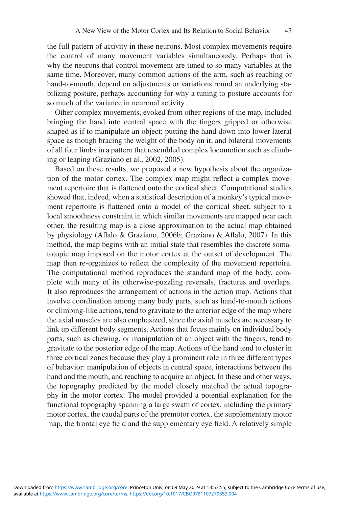the full pattern of activity in these neurons. Most complex movements require the control of many movement variables simultaneously. Perhaps that is why the neurons that control movement are tuned to so many variables at the same time. Moreover, many common actions of the arm, such as reaching or hand-to-mouth, depend on adjustments or variations round an underlying stabilizing posture, perhaps accounting for why a tuning to posture accounts for so much of the variance in neuronal activity.

 Other complex movements, evoked from other regions of the map, included bringing the hand into central space with the fingers gripped or otherwise shaped as if to manipulate an object; putting the hand down into lower lateral space as though bracing the weight of the body on it; and bilateral movements of all four limbs in a pattern that resembled complex locomotion such as climbing or leaping (Graziano et al., 2002, 2005).

 Based on these results, we proposed a new hypothesis about the organization of the motor cortex. The complex map might reflect a complex movement repertoire that is flattened onto the cortical sheet. Computational studies showed that, indeed, when a statistical description of a monkey's typical movement repertoire is flattened onto a model of the cortical sheet, subject to a local smoothness constraint in which similar movements are mapped near each other, the resulting map is a close approximation to the actual map obtained by physiology (Aflalo & Graziano, 2006b; Graziano & Aflalo, 2007). In this method, the map begins with an initial state that resembles the discrete somatotopic map imposed on the motor cortex at the outset of development. The map then re-organizes to reflect the complexity of the movement repertoire. The computational method reproduces the standard map of the body, complete with many of its otherwise- puzzling reversals, fractures and overlaps. It also reproduces the arrangement of actions in the action map. Actions that involve coordination among many body parts, such as hand-to-mouth actions or climbing- like actions, tend to gravitate to the anterior edge of the map where the axial muscles are also emphasized, since the axial muscles are necessary to link up different body segments. Actions that focus mainly on individual body parts, such as chewing, or manipulation of an object with the fingers, tend to gravitate to the posterior edge of the map. Actions of the hand tend to cluster in three cortical zones because they play a prominent role in three different types of behavior: manipulation of objects in central space, interactions between the hand and the mouth, and reaching to acquire an object. In these and other ways, the topography predicted by the model closely matched the actual topography in the motor cortex. The model provided a potential explanation for the functional topography spanning a large swath of cortex, including the primary motor cortex, the caudal parts of the premotor cortex, the supplementary motor map, the frontal eye field and the supplementary eye field. A relatively simple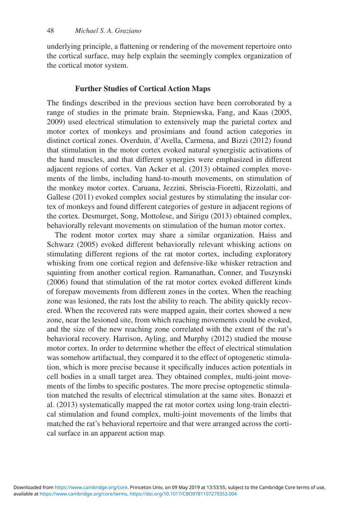underlying principle, a flattening or rendering of the movement repertoire onto the cortical surface, may help explain the seemingly complex organization of the cortical motor system.

# **Further Studies of Cortical Action Maps**

The findings described in the previous section have been corroborated by a range of studies in the primate brain. Stepniewska, Fang, and Kaas (2005, 2009) used electrical stimulation to extensively map the parietal cortex and motor cortex of monkeys and prosimians and found action categories in distinct cortical zones. Overduin, d'Avella, Carmena, and Bizzi (2012) found that stimulation in the motor cortex evoked natural synergistic activations of the hand muscles, and that different synergies were emphasized in different adjacent regions of cortex. Van Acker et al. (2013) obtained complex movements of the limbs, including hand-to-mouth movements, on stimulation of the monkey motor cortex. Caruana, Jezzini, Sbriscia- Fioretti, Rizzolatti, and Gallese (2011) evoked complex social gestures by stimulating the insular cortex of monkeys and found different categories of gesture in adjacent regions of the cortex. Desmurget, Song, Mottolese, and Sirigu (2013) obtained complex, behaviorally relevant movements on stimulation of the human motor cortex.

 The rodent motor cortex may share a similar organization. Haiss and Schwarz (2005) evoked different behaviorally relevant whisking actions on stimulating different regions of the rat motor cortex, including exploratory whisking from one cortical region and defensive-like whisker retraction and squinting from another cortical region. Ramanathan, Conner, and Tuszynski (2006) found that stimulation of the rat motor cortex evoked different kinds of forepaw movements from different zones in the cortex. When the reaching zone was lesioned, the rats lost the ability to reach. The ability quickly recovered. When the recovered rats were mapped again, their cortex showed a new zone, near the lesioned site, from which reaching movements could be evoked, and the size of the new reaching zone correlated with the extent of the rat's behavioral recovery. Harrison, Ayling, and Murphy (2012) studied the mouse motor cortex. In order to determine whether the effect of electrical stimulation was somehow artifactual, they compared it to the effect of optogenetic stimulation, which is more precise because it specifically induces action potentials in cell bodies in a small target area. They obtained complex, multi-joint movements of the limbs to specific postures. The more precise optogenetic stimulation matched the results of electrical stimulation at the same sites. Bonazzi et al. (2013) systematically mapped the rat motor cortex using long- train electrical stimulation and found complex, multi- joint movements of the limbs that matched the rat's behavioral repertoire and that were arranged across the cortical surface in an apparent action map.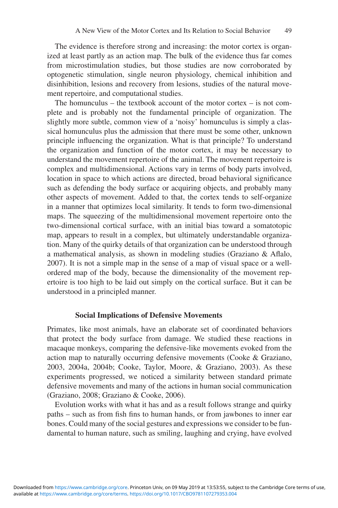The evidence is therefore strong and increasing: the motor cortex is organized at least partly as an action map. The bulk of the evidence thus far comes from microstimulation studies, but those studies are now corroborated by optogenetic stimulation, single neuron physiology, chemical inhibition and disinhibition, lesions and recovery from lesions, studies of the natural movement repertoire, and computational studies.

The homunculus – the textbook account of the motor cortex – is not complete and is probably not the fundamental principle of organization. The slightly more subtle, common view of a 'noisy' homunculus is simply a classical homunculus plus the admission that there must be some other, unknown principle influencing the organization. What is that principle? To understand the organization and function of the motor cortex, it may be necessary to understand the movement repertoire of the animal. The movement repertoire is complex and multidimensional. Actions vary in terms of body parts involved, location in space to which actions are directed, broad behavioral significance such as defending the body surface or acquiring objects, and probably many other aspects of movement. Added to that, the cortex tends to self-organize in a manner that optimizes local similarity. It tends to form two- dimensional maps. The squeezing of the multidimensional movement repertoire onto the two- dimensional cortical surface, with an initial bias toward a somatotopic map, appears to result in a complex, but ultimately understandable organization. Many of the quirky details of that organization can be understood through a mathematical analysis, as shown in modeling studies (Graziano  $\&$  Aflalo, 2007). It is not a simple map in the sense of a map of visual space or a wellordered map of the body, because the dimensionality of the movement repertoire is too high to be laid out simply on the cortical surface. But it can be understood in a principled manner.

### **Social Implications of Defensive Movements**

 Primates, like most animals, have an elaborate set of coordinated behaviors that protect the body surface from damage. We studied these reactions in macaque monkeys, comparing the defensive- like movements evoked from the action map to naturally occurring defensive movements (Cooke & Graziano, 2003, 2004a, 2004b; Cooke, Taylor, Moore, & Graziano, 2003). As these experiments progressed, we noticed a similarity between standard primate defensive movements and many of the actions in human social communication (Graziano, 2008; Graziano & Cooke, 2006).

 Evolution works with what it has and as a result follows strange and quirky paths – such as from fish fins to human hands, or from jawbones to inner ear bones. Could many of the social gestures and expressions we consider to be fundamental to human nature, such as smiling, laughing and crying, have evolved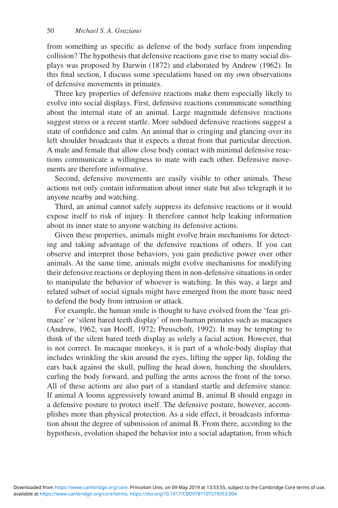from something as specific as defense of the body surface from impending collision? The hypothesis that defensive reactions gave rise to many social displays was proposed by Darwin (1872) and elaborated by Andrew (1962). In this final section, I discuss some speculations based on my own observations of defensive movements in primates.

 Three key properties of defensive reactions make them especially likely to evolve into social displays. First, defensive reactions communicate something about the internal state of an animal. Large magnitude defensive reactions suggest stress or a recent startle. More subdued defensive reactions suggest a state of confidence and calm. An animal that is cringing and glancing over its left shoulder broadcasts that it expects a threat from that particular direction. A male and female that allow close body contact with minimal defensive reactions communicate a willingness to mate with each other. Defensive movements are therefore informative.

 Second, defensive movements are easily visible to other animals. These actions not only contain information about inner state but also telegraph it to anyone nearby and watching.

 Third, an animal cannot safely suppress its defensive reactions or it would expose itself to risk of injury. It therefore cannot help leaking information about its inner state to anyone watching its defensive actions.

 Given these properties, animals might evolve brain mechanisms for detecting and taking advantage of the defensive reactions of others. If you can observe and interpret those behaviors, you gain predictive power over other animals. At the same time, animals might evolve mechanisms for modifying their defensive reactions or deploying them in non- defensive situations in order to manipulate the behavior of whoever is watching. In this way, a large and related subset of social signals might have emerged from the more basic need to defend the body from intrusion or attack.

 For example, the human smile is thought to have evolved from the 'fear grimace' or 'silent bared teeth display' of non- human primates such as macaques (Andrew, 1962; van Hooff, 1972; Preuschoft, 1992). It may be tempting to think of the silent bared teeth display as solely a facial action. However, that is not correct. In macaque monkeys, it is part of a whole- body display that includes wrinkling the skin around the eyes, lifting the upper lip, folding the ears back against the skull, pulling the head down, hunching the shoulders, curling the body forward, and pulling the arms across the front of the torso. All of these actions are also part of a standard startle and defensive stance. If animal A looms aggressively toward animal B, animal B should engage in a defensive posture to protect itself. The defensive posture, however, accomplishes more than physical protection. As a side effect, it broadcasts information about the degree of submission of animal B. From there, according to the hypothesis, evolution shaped the behavior into a social adaptation, from which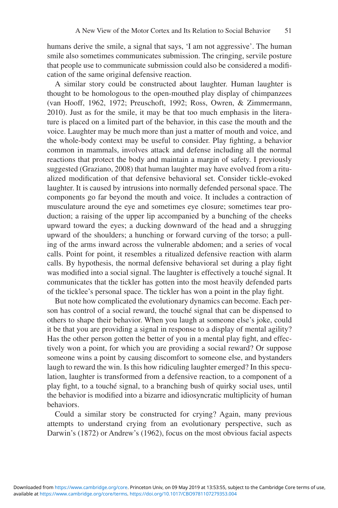humans derive the smile, a signal that says, 'I am not aggressive'. The human smile also sometimes communicates submission. The cringing, servile posture that people use to communicate submission could also be considered a modification of the same original defensive reaction.

 A similar story could be constructed about laughter. Human laughter is thought to be homologous to the open- mouthed play display of chimpanzees (van Hooff, 1962, 1972; Preuschoft, 1992; Ross, Owren, & Zimmermann, 2010). Just as for the smile, it may be that too much emphasis in the literature is placed on a limited part of the behavior, in this case the mouth and the voice. Laughter may be much more than just a matter of mouth and voice, and the whole-body context may be useful to consider. Play fighting, a behavior common in mammals, involves attack and defense including all the normal reactions that protect the body and maintain a margin of safety. I previously suggested (Graziano, 2008) that human laughter may have evolved from a ritualized modification of that defensive behavioral set. Consider tickle-evoked laughter. It is caused by intrusions into normally defended personal space. The components go far beyond the mouth and voice. It includes a contraction of musculature around the eye and sometimes eye closure; sometimes tear production; a raising of the upper lip accompanied by a bunching of the cheeks upward toward the eyes; a ducking downward of the head and a shrugging upward of the shoulders; a hunching or forward curving of the torso; a pulling of the arms inward across the vulnerable abdomen; and a series of vocal calls. Point for point, it resembles a ritualized defensive reaction with alarm calls. By hypothesis, the normal defensive behavioral set during a play fight was modified into a social signal. The laughter is effectively a touché signal. It communicates that the tickler has gotten into the most heavily defended parts of the ticklee's personal space. The tickler has won a point in the play fight.

 But note how complicated the evolutionary dynamics can become. Each person has control of a social reward, the touché signal that can be dispensed to others to shape their behavior. When you laugh at someone else's joke, could it be that you are providing a signal in response to a display of mental agility? Has the other person gotten the better of you in a mental play fight, and effectively won a point, for which you are providing a social reward? Or suppose someone wins a point by causing discomfort to someone else, and bystanders laugh to reward the win. Is this how ridiculing laughter emerged? In this speculation, laughter is transformed from a defensive reaction, to a component of a play fight, to a touché signal, to a branching bush of quirky social uses, until the behavior is modified into a bizarre and idiosyncratic multiplicity of human behaviors.

 Could a similar story be constructed for crying? Again, many previous attempts to understand crying from an evolutionary perspective, such as Darwin's (1872) or Andrew's (1962), focus on the most obvious facial aspects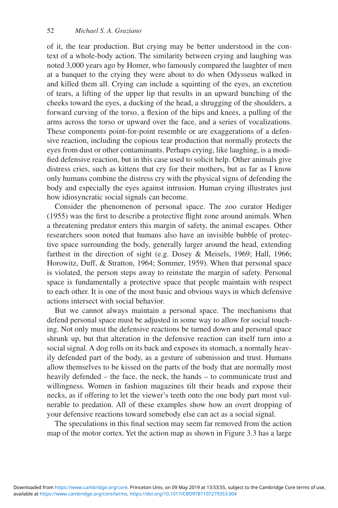of it, the tear production. But crying may be better understood in the context of a whole- body action. The similarity between crying and laughing was noted 3,000 years ago by Homer, who famously compared the laughter of men at a banquet to the crying they were about to do when Odysseus walked in and killed them all. Crying can include a squinting of the eyes, an excretion of tears, a lifting of the upper lip that results in an upward bunching of the cheeks toward the eyes, a ducking of the head, a shrugging of the shoulders, a forward curving of the torso, a flexion of the hips and knees, a pulling of the arms across the torso or upward over the face, and a series of vocalizations. These components point-for-point resemble or are exaggerations of a defensive reaction, including the copious tear production that normally protects the eyes from dust or other contaminants. Perhaps crying, like laughing, is a modified defensive reaction, but in this case used to solicit help. Other animals give distress cries, such as kittens that cry for their mothers, but as far as I know only humans combine the distress cry with the physical signs of defending the body and especially the eyes against intrusion. Human crying illustrates just how idiosyncratic social signals can become.

 Consider the phenomenon of personal space. The zoo curator Hediger (1955) was the first to describe a protective flight zone around animals. When a threatening predator enters this margin of safety, the animal escapes. Other researchers soon noted that humans also have an invisible bubble of protective space surrounding the body, generally larger around the head, extending farthest in the direction of sight (e.g. Dosey & Meisels, 1969; Hall, 1966; Horowitz, Duff, & Stratton, 1964; Sommer, 1959). When that personal space is violated, the person steps away to reinstate the margin of safety. Personal space is fundamentally a protective space that people maintain with respect to each other. It is one of the most basic and obvious ways in which defensive actions intersect with social behavior.

 But we cannot always maintain a personal space. The mechanisms that defend personal space must be adjusted in some way to allow for social touching. Not only must the defensive reactions be turned down and personal space shrunk up, but that alteration in the defensive reaction can itself turn into a social signal. A dog rolls on its back and exposes its stomach, a normally heavily defended part of the body, as a gesture of submission and trust. Humans allow themselves to be kissed on the parts of the body that are normally most heavily defended – the face, the neck, the hands – to communicate trust and willingness. Women in fashion magazines tilt their heads and expose their necks, as if offering to let the viewer's teeth onto the one body part most vulnerable to predation. All of these examples show how an overt dropping of your defensive reactions toward somebody else can act as a social signal.

The speculations in this final section may seem far removed from the action map of the motor cortex. Yet the action map as shown in Figure 3.3 has a large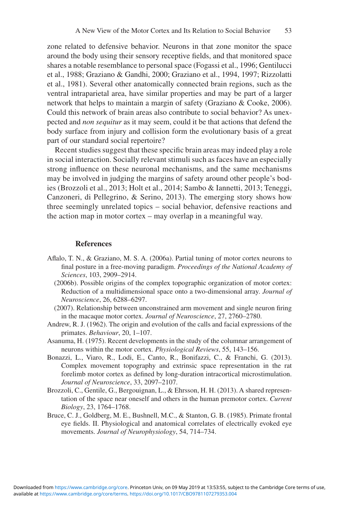zone related to defensive behavior. Neurons in that zone monitor the space around the body using their sensory receptive fields, and that monitored space shares a notable resemblance to personal space (Fogassi et al., 1996; Gentilucci et al., 1988; Graziano & Gandhi, 2000; Graziano et al., 1994, 1997; Rizzolatti et al., 1981 ). Several other anatomically connected brain regions, such as the ventral intraparietal area, have similar properties and may be part of a larger network that helps to maintain a margin of safety (Graziano & Cooke, 2006). Could this network of brain areas also contribute to social behavior? As unexpected and *non sequitur* as it may seem, could it be that actions that defend the body surface from injury and collision form the evolutionary basis of a great part of our standard social repertoire?

Recent studies suggest that these specific brain areas may indeed play a role in social interaction. Socially relevant stimuli such as faces have an especially strong influence on these neuronal mechanisms, and the same mechanisms may be involved in judging the margins of safety around other people's bodies (Brozzoli et al., 2013; Holt et al., 2014; Sambo & Iannetti, 2013; Teneggi, Canzoneri, di Pellegrino, & Serino, 2013 ). The emerging story shows how three seemingly unrelated topics – social behavior, defensive reactions and the action map in motor cortex – may overlap in a meaningful way.

### **References**

- Aflalo, T. N., & Graziano, M. S. A. (2006a). Partial tuning of motor cortex neurons to final posture in a free-moving paradigm. Proceedings of the National Academy of *Sciences*, 103, 2909-2914.
	- (2006b). Possible origins of the complex topographic organization of motor cortex: Reduction of a multidimensional space onto a two- dimensional array . *Journal of Neuroscience* , 26 , 6288 – 6297 .
	- $(2007)$ . Relationship between unconstrained arm movement and single neuron firing in the macaque motor cortex. *Journal of Neuroscience*, 27, 2760–2780.
- Andrew, R. J. (1962). The origin and evolution of the calls and facial expressions of the primates. *Behaviour*, 20, 1-107.
- Asanuma, H. (1975). Recent developments in the study of the columnar arrangement of neurons within the motor cortex. *Physiological Reviews*, 55, 143-156.
- Bonazzi, L., Viaro, R., Lodi, E., Canto, R., Bonifazzi, C., & Franchi, G. (2013). Complex movement topography and extrinsic space representation in the rat forelimb motor cortex as defined by long-duration intracortical microstimulation. *Journal of Neuroscience* , 33 , 2097 – 2107 .
- Brozzoli, C., Gentile, G., Bergouignan, L., & Ehrsson, H. H. (2013). A shared representation of the space near oneself and others in the human premotor cortex . *Current Biology*, 23, 1764–1768.
- Bruce, C. J., Goldberg, M. E., Bushnell, M.C., & Stanton, G. B. (1985). Primate frontal eye fields. II. Physiological and anatomical correlates of electrically evoked eye movements. *Journal of Neurophysiology*, 54, 714-734.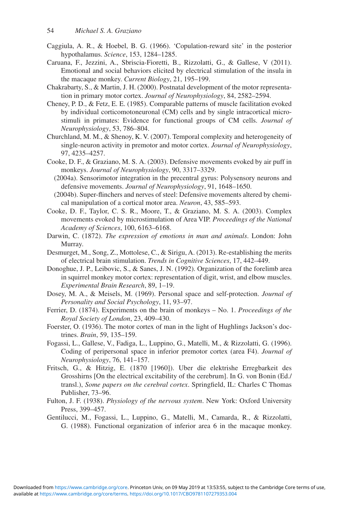- Caggiula, A. R., & Hoebel, B. G. (1966). 'Copulation-reward site' in the posterior hypothalamus . *Science* , 153 , 1284 – 1285 .
- Caruana, F., Jezzini, A., Sbriscia-Fioretti, B., Rizzolatti, G., & Gallese, V (2011). Emotional and social behaviors elicited by electrical stimulation of the insula in the macaque monkey. *Current Biology*, 21, 195–199.
- Chakrabarty, S., & Martin, J. H. (2000). Postnatal development of the motor representation in primary motor cortex. *Journal of Neurophysiology*, 84, 2582-2594.
- Cheney, P. D., & Fetz, E. E. (1985). Comparable patterns of muscle facilitation evoked by individual corticomotoneuronal (CM) cells and by single intracortical microstimuli in primates: Evidence for functional groups of CM cells . *Journal of Neurophysiology* , 53 , 786 – 804 .
- Churchland, M. M., & Shenoy, K. V. (2007). Temporal complexity and heterogeneity of single- neuron activity in premotor and motor cortex . *Journal of Neurophysiology* , 97, 4235-4257.
- Cooke, D. F., & Graziano, M. S. A. (2003). Defensive movements evoked by air puff in monkeys. *Journal of Neurophysiology*, 90, 3317–3329.
	- (2004a). Sensorimotor integration in the precentral gyrus: Polysensory neurons and defensive movements. *Journal of Neurophysiology*, 91, 1648-1650.
	- (2004b). Super-flinchers and nerves of steel: Defensive movements altered by chemical manipulation of a cortical motor area. *Neuron*, 43, 585–593.
- Cooke, D. F., Taylor, C. S. R., Moore, T., & Graziano, M. S. A. (2003). Complex movements evoked by microstimulation of Area VIP . *Proceedings of the National*  Academy of Sciences, 100, 6163-6168.
- Darwin, C. (1872). *The expression of emotions in man and animals*. London: John Murray.
- Desmurget, M., Song, Z., Mottolese, C., & Sirigu, A. (2013). Re-establishing the merits of electrical brain stimulation. *Trends in Cognitive Sciences*, 17, 442-449.
- Donoghue, J. P., Leibovic, S., & Sanes, J. N. (1992). Organization of the forelimb area in squirrel monkey motor cortex: representation of digit, wrist, and elbow muscles . *Experimental Brain Research*, 89, 1–19.
- Dosey, M. A., & Meisels, M. (1969). Personal space and self-protection. *Journal of* Personality and Social Psychology, 11, 93-97.
- Ferrier, D. (1874). Experiments on the brain of monkeys No. 1. *Proceedings of the Royal Society of London*, 23, 409-430.
- Foerster, O. (1936). The motor cortex of man in the light of Hughlings Jackson's doctrines. *Brain*, 59, 135-159.
- Fogassi, L., Gallese, V., Fadiga, L., Luppino, G., Matelli, M., & Rizzolatti, G. (1996). Coding of peripersonal space in inferior premotor cortex (area F4) . *Journal of Neurophysiology* , 76 , 141– 157 .
- Fritsch , G. , & Hitzig , E. ( 1870 [1960] ). Uber die elektrishe Erregbarkeit des Grosshirns [On the electrical excitability of the cerebrum]. In G. von Bonin (Ed./ transl.), *Some papers on the cerebral cortex*. Springfield, IL: Charles C Thomas Publisher, 73-96.
- Fulton, J. F. (1938). *Physiology of the nervous system*. New York: Oxford University Press, 399–457.
- Gentilucci, M., Fogassi, L., Luppino, G., Matelli, M., Camarda, R., & Rizzolatti, G. (1988). Functional organization of inferior area 6 in the macaque monkey.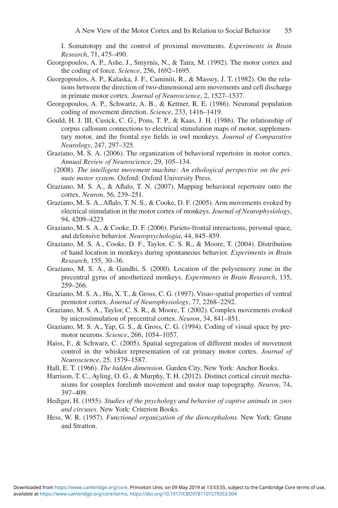I. Somatotopy and the control of proximal movements . *Experiments in Brain Research*, 71, 475–490.

- Georgopoulos, A. P., Ashe, J., Smyrnis, N., & Taira, M. (1992). The motor cortex and the coding of force. *Science*, 256, 1692–1695.
- Georgopoulos, A. P., Kalaska, J. F., Caminiti, R., & Massey, J. T. (1982). On the relations between the direction of two- dimensional arm movements and cell discharge in primate motor cortex. *Journal of Neuroscience*, 2, 1527-1537.
- Georgopoulos , A. P. , Schwartz , A. B. , & Kettner , R. E. ( 1986 ). Neuronal population coding of movement direction. *Science*, 233, 1416-1419.
- Gould, H. J. III, Cusick, C. G., Pons, T. P., & Kaas, J. H. (1986). The relationship of corpus callosum connections to electrical stimulation maps of motor, supplementary motor, and the frontal eye fields in owl monkeys. *Journal of Comparative Neurology* , 247 , 297 – 325 .
- Graziano, M. S. A. (2006). The organization of behavioral repertoire in motor cortex. Annual Review of Neuroscience, 29, 105-134.
	- ( 2008 ). *The intelligent movement machine: An ethological perspective on the primate motor system* . Oxford: Oxford University Press .
- Graziano, M. S. A., & Aflalo, T. N. (2007). Mapping behavioral repertoire onto the cortex. *Neuron*, 56, 239-251.
- Graziano, M. S. A., Aflalo, T. N. S.,  $\&$  Cooke, D. F. (2005). Arm movements evoked by electrical stimulation in the motor cortex of monkeys . *Journal of Neurophysiology* , 94, 4209-4223
- Graziano, M. S. A., & Cooke, D. F. (2006). Parieto-frontal interactions, personal space, and defensive behavior . *Neuropsychologia* , 44 , 845 – 859 .
- Graziano, M. S. A., Cooke, D. F., Taylor, C. S. R., & Moore, T. (2004). Distribution of hand location in monkeys during spontaneous behavior . *Experiments in Brain Research*, 155, 30-36.
- Graziano, M. S. A.,  $\&$  Gandhi, S. (2000). Location of the polysensory zone in the precentral gyrus of anesthetized monkeys. *Experiments in Brain Research*, 135, 259 – 266.
- Graziano, M. S. A., Hu, X. T., & Gross, C. G. (1997). Visuo-spatial properties of ventral premotor cortex. *Journal of Neurophysiology*, 77, 2268–2292.
- Graziano, M. S. A., Taylor, C. S. R., & Moore, T. (2002). Complex movements evoked by microstimulation of precentral cortex. *Neuron*, 34, 841–851.
- Graziano, M. S. A., Yap, G. S., & Gross, C. G.  $(1994)$ . Coding of visual space by premotor neurons. *Science*, 266, 1054-1057.
- Haiss, F., & Schwarz, C. (2005). Spatial segregation of different modes of movement control in the whisker representation of rat primary motor cortex . *Journal of Neuroscience* , 25 , 1579 – 1587 .
- Hall, E. T. (1966). *The hidden dimension*. Garden City, New York: Anchor Books.
- Harrison, T. C., Ayling, O. G., & Murphy, T. H. (2012). Distinct cortical circuit mechanisms for complex forelimb movement and motor map topography. *Neuron*, 74, 397 – 409.
- Hediger, H. (1955). *Studies of the psychology and behavior of captive animals in zoos* and circuses. New York: Criterion Books.
- Hess, W. R. (1957). *Functional organization of the diencephalons*. New York: Grune and Stratton .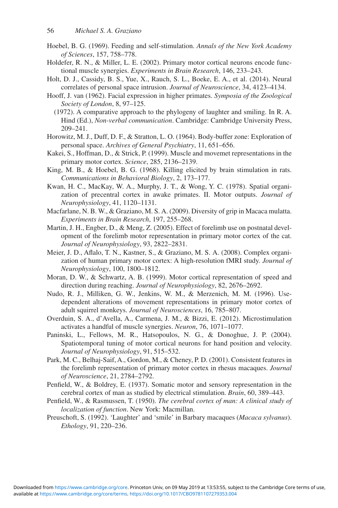- Hoebel, B. G. (1969). Feeding and self-stimulation. Annals of the New York Academy *of Sciences* , 157 , 758 – 778 .
- Holdefer, R. N., & Miller, L. E. (2002). Primary motor cortical neurons encode functional muscle synergies. *Experiments in Brain Research*, 146, 233-243.
- Holt, D. J., Cassidy, B. S., Yue, X., Rauch, S. L., Boeke, E. A., et al. (2014). Neural correlates of personal space intrusion. *Journal of Neuroscience*, 34, 4123-4134.
- Hooff, J. van (1962). Facial expression in higher primates. Symposia of the Zoological *Society of London*, 8, 97-125.
	- (1972). A comparative approach to the phylogeny of laughter and smiling. In R. A. Hind (Ed.), *Non-verbal communication*. Cambridge: Cambridge University Press,  $209 - 241$ .
- Horowitz, M. J., Duff, D. F., & Stratton, L. O. (1964). Body-buffer zone: Exploration of personal space. *Archives of General Psychiatry*, 11, 651–656.
- Kakei, S., Hoffman, D., & Strick, P. (1999). Muscle and movemet representations in the primary motor cortex. Science, 285, 2136-2139.
- King, M. B., & Hoebel, B. G. (1968). Killing elicited by brain stimulation in rats. *Communications in Behavioral Biology, 2, 173-177.*
- Kwan, H. C., MacKay, W. A., Murphy, J. T., & Wong, Y. C. (1978). Spatial organization of precentral cortex in awake primates. II. Motor outputs. *Journal of Neurophysiology*, 41, 1120-1131.
- Macfarlane, N. B. W., & Graziano, M. S. A. (2009). Diversity of grip in Macaca mulatta. *Experiments in Brain Research*, 197, 255-268.
- Martin, J. H., Engber, D., & Meng, Z. (2005). Effect of forelimb use on postnatal development of the forelimb motor representation in primary motor cortex of the cat. Journal of Neurophysiology, 93, 2822-2831.
- Meier, J. D., Aflalo, T. N., Kastner, S., & Graziano, M. S. A. (2008). Complex organization of human primary motor cortex: A high- resolution fMRI study . *Journal of Neurophysiology* , 100 , 1800 – 1812 .
- Moran, D. W., & Schwartz, A. B. (1999). Motor cortical representation of speed and direction during reaching. *Journal of Neurophysiology*, 82, 2676–2692.
- Nudo, R. J., Milliken, G. W., Jenkins, W. M., & Merzenich, M. M. (1996). Usedependent alterations of movement representations in primary motor cortex of adult squirrel monkeys. *Journal of Neurosciences*, 16, 785-807.
- Overduin , S. A. , d'Avella , A. , Carmena , J. M. , & Bizzi , E. ( 2012 ). Microstimulation activates a handful of muscle synergies. *Neuron*, 76, 1071-1077.
- Paninski, L., Fellows, M. R., Hatsopoulos, N. G., & Donoghue, J. P. (2004). Spatiotemporal tuning of motor cortical neurons for hand position and velocity. Journal of Neurophysiology, 91, 515-532.
- Park, M. C., Belhaj-Saif, A., Gordon, M., & Cheney, P. D. (2001). Consistent features in the forelimb representation of primary motor cortex in rhesus macaques . *Journal of Neuroscience* , 21 , 2784 – 2792 .
- Penfield, W., & Boldrey, E. (1937). Somatic motor and sensory representation in the cerebral cortex of man as studied by electrical stimulation. *Brain*, 60, 389-443.
- Penfield, W., & Rasmussen, T. (1950). *The cerebral cortex of man: A clinical study of localization of function*. New York: Macmillan.
- Preuschoft, S. (1992). 'Laughter' and 'smile' in Barbary macaques (*Macaca sylvanus*). Ethology, 91, 220-236.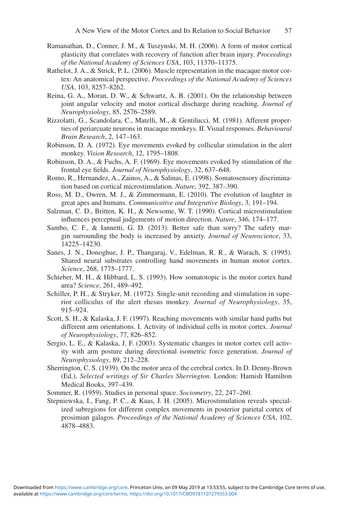- Ramanathan, D., Conner, J. M., & Tuszynski, M. H. (2006). A form of motor cortical plasticity that correlates with recovery of function after brain injury . *Proceedings of the National Academy of Sciences USA*, 103, 11370-11375.
- Rathelot, J. A., & Strick, P. L. (2006). Muscle representation in the macaque motor cortex: An anatomical perspective . *Proceedings of the National Academy of Sciences*  USA, 103, 8257-8262.
- Reina, G. A., Moran, D. W., & Schwartz, A. B. (2001). On the relationship between joint angular velocity and motor cortical discharge during reaching . *Journal of Neurophysiology* , 85 , 2576 – 2589 .
- Rizzolatti, G., Scandolara, C., Matelli, M., & Gentilucci, M. (1981). Afferent properties of periarcuate neurons in macaque monkeys. II. Visual responses . *Behavioural Brain Research*, 2, 147-163.
- Robinson, D. A. (1972). Eye movements evoked by collicular stimulation in the alert monkey. *Vision Research*, 12, 1795-1808.
- Robinson, D. A.,  $\&$  Fuchs, A. F. (1969). Eye movements evoked by stimulation of the frontal eye fields. *Journal of Neurophysiology*, 32, 637–648.
- Romo, R., Hernandez, A., Zainos, A., & Salinas, E. (1998). Somatosensory discrimination based on cortical microstimulation. *Nature*, 392, 387–390.
- Ross, M. D., Owren, M. J., & Zimmermann, E. (2010). The evolution of laughter in great apes and humans. *Communicative and Integrative Biology*, 3, 191–194.
- Salzman, C. D., Britten, K. H., & Newsome, W. T. (1990). Cortical microstimulation influences perceptual judgements of motion direction. *Nature*, 346, 174–177.
- Sambo, C. F., & Iannetti, G. D. (2013). Better safe than sorry? The safety margin surrounding the body is increased by anxiety . *Journal of Neuroscience* , 33 , 14225 – 14230.
- Sanes, J. N., Donoghue, J. P., Thangaraj, V., Edelman, R. R., & Warach, S. (1995). Shared neural substrates controlling hand movements in human motor cortex. *Science* , 268 , 1775 – 1777 .
- Schieber, M. H., & Hibbard, L. S. (1993). How somatotopic is the motor cortex hand area? *Science*, 261, 489-492.
- Schiller, P. H., & Stryker, M. (1972). Single-unit recording and stimulation in superior colliculus of the alert rhesus monkey. *Journal of Neurophysiology*, 35, 915 – 924.
- Scott, S. H., & Kalaska, J. F. (1997). Reaching movements with similar hand paths but different arm orientations. I. Activity of individual cells in motor cortex . *Journal of Neurophysiology* , 77 , 826 – 852 .
- Sergio, L. E., & Kalaska, J. F. (2003). Systematic changes in motor cortex cell activity with arm posture during directional isometric force generation . *Journal of Neurophysiology*, 89, 212-228.
- Sherrington, C. S. (1939). On the motor area of the cerebral cortex. In D. Denny-Brown (Ed.), *Selected writings of Sir Charles Sherrington*. London: Hamish Hamilton Medical Books, 397-439.
- Sommer, R. (1959). Studies in personal space. *Sociometry*, 22, 247–260.
- Stepniewska, I., Fang, P. C., & Kaas, J. H. (2005). Microstimulation reveals specialized subregions for different complex movements in posterior parietal cortex of prosimian galagos. Proceedings of the National Academy of Sciences USA, 102, 4878-4883.